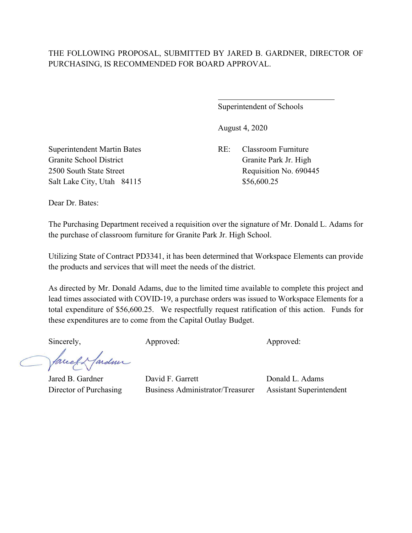## THE FOLLOWING PROPOSAL, SUBMITTED BY JARED B. GARDNER, DIRECTOR OF PURCHASING, IS RECOMMENDED FOR BOARD APPROVAL.

 $\overline{a}$ 

Superintendent of Schools

August 4, 2020

Superintendent Martin Bates RE: Classroom Furniture Granite School District Granite Park Jr. High Salt Lake City, Utah 84115 \$56,600.25

2500 South State Street Requisition No. 690445

Dear Dr. Bates:

The Purchasing Department received a requisition over the signature of Mr. Donald L. Adams for the purchase of classroom furniture for Granite Park Jr. High School.

Utilizing State of Contract PD3341, it has been determined that Workspace Elements can provide the products and services that will meet the needs of the district.

As directed by Mr. Donald Adams, due to the limited time available to complete this project and lead times associated with COVID-19, a purchase orders was issued to Workspace Elements for a total expenditure of \$56,600.25. We respectfully request ratification of this action. Funds for these expenditures are to come from the Capital Outlay Budget.

facel Hardme

Sincerely, Approved: Approved: Approved: Approved:

Jared B. Gardner David F. Garrett Donald L. Adams Director of Purchasing Business Administrator/Treasurer Assistant Superintendent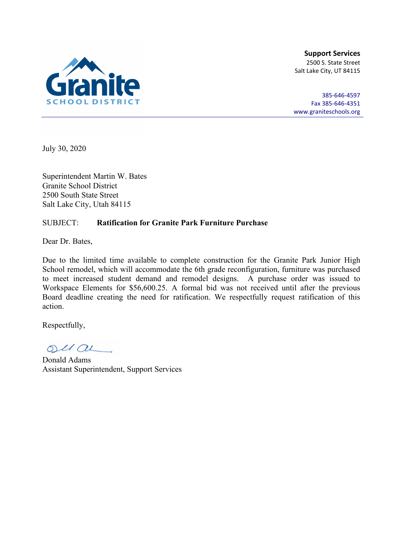

**Support Services** 2500 S. State Street Salt Lake City, UT 84115

385-646-4597 Fax 385-646-4351 [www.graniteschools.org](http://www.graniteschools.org/)

July 30, 2020

Superintendent Martin W. Bates Granite School District 2500 South State Street Salt Lake City, Utah 84115

#### SUBJECT: **Ratification for Granite Park Furniture Purchase**

Dear Dr. Bates,

Due to the limited time available to complete construction for the Granite Park Junior High School remodel, which will accommodate the 6th grade reconfiguration, furniture was purchased to meet increased student demand and remodel designs. A purchase order was issued to Workspace Elements for \$56,600.25. A formal bid was not received until after the previous Board deadline creating the need for ratification. We respectfully request ratification of this action.

Respectfully,

 $OUL/OL$ 

Donald Adams Assistant Superintendent, Support Services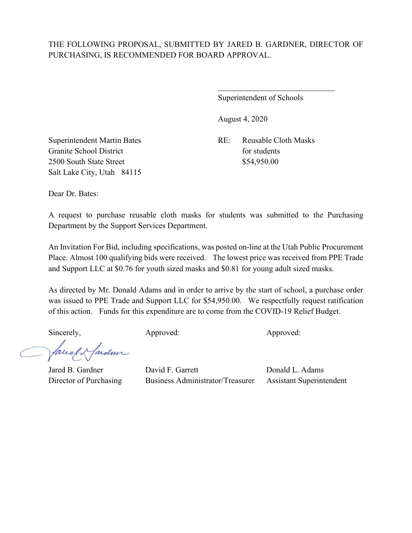# THE FOLLOWING PROPOSAL, SUBMITTED BY JARED B. GARDNER, DIRECTOR OF PURCHASING, IS RECOMMENDED FOR BOARD APPROVAL.

 $\overline{a}$ 

Superintendent of Schools

August 4, 2020

Granite School District for students 2500 South State Street \$54,950.00 Salt Lake City, Utah 84115

Superintendent Martin Bates RE: Reusable Cloth Masks

Dear Dr. Bates:

A request to purchase reusable cloth masks for students was submitted to the Purchasing Department by the Support Services Department.

An Invitation For Bid, including specifications, was posted on-line at the Utah Public Procurement Place. Almost 100 qualifying bids were received. The lowest price was received from PPE Trade and Support LLC at \$0.76 for youth sized masks and \$0.81 for young adult sized masks.

As directed by Mr. Donald Adams and in order to arrive by the start of school, a purchase order was issued to PPE Trade and Support LLC for \$54,950.00. We respectfully request ratification of this action. Funds for this expenditure are to come from the COVID-19 Relief Budget.

Sincerely, Approved: Approved: Approved: Approved:

facely fardun

Jared B. Gardner David F. Garrett Donald L. Adams Director of Purchasing Business Administrator/Treasurer Assistant Superintendent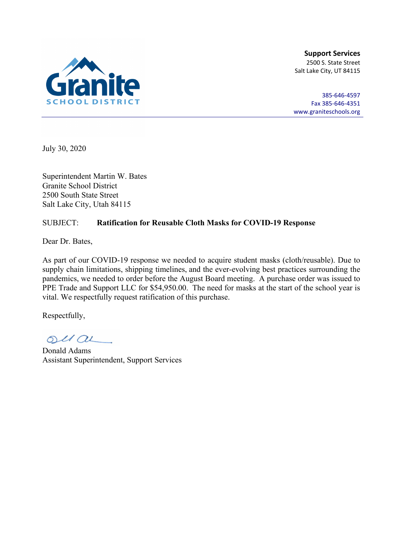

**Support Services** 2500 S. State Street Salt Lake City, UT 84115

385-646-4597 Fax 385-646-4351 [www.graniteschools.org](http://www.graniteschools.org/)

July 30, 2020

Superintendent Martin W. Bates Granite School District 2500 South State Street Salt Lake City, Utah 84115

### SUBJECT: **Ratification for Reusable Cloth Masks for COVID-19 Response**

Dear Dr. Bates,

As part of our COVID-19 response we needed to acquire student masks (cloth/reusable). Due to supply chain limitations, shipping timelines, and the ever-evolving best practices surrounding the pandemics, we needed to order before the August Board meeting. A purchase order was issued to PPE Trade and Support LLC for \$54,950.00. The need for masks at the start of the school year is vital. We respectfully request ratification of this purchase.

Respectfully,

 $OULOL$ 

Donald Adams Assistant Superintendent, Support Services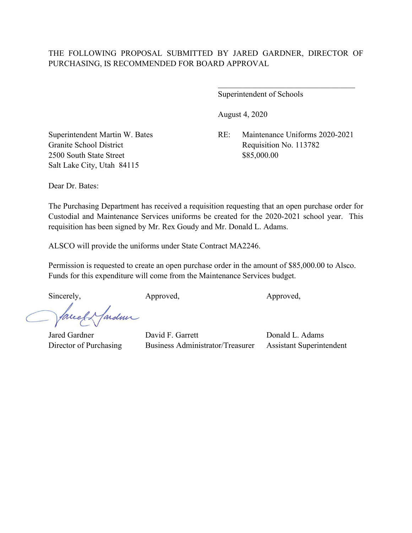Superintendent of Schools

August 4, 2020

Superintendent Martin W. Bates RE: Maintenance Uniforms 2020-2021 Granite School District Requisition No. 113782

 $\overline{\phantom{a}}$ 

2500 South State Street \$85,000.00 Salt Lake City, Utah 84115

Dear Dr. Bates:

The Purchasing Department has received a requisition requesting that an open purchase order for Custodial and Maintenance Services uniforms be created for the 2020-2021 school year. This requisition has been signed by Mr. Rex Goudy and Mr. Donald L. Adams.

ALSCO will provide the uniforms under State Contract MA2246.

Permission is requested to create an open purchase order in the amount of \$85,000.00 to Alsco. Funds for this expenditure will come from the Maintenance Services budget.

Sincerely, Approved, Approved, Approved,

ardmi fareel

Jared Gardner David F. Garrett Donald L. Adams Director of Purchasing Business Administrator/Treasurer Assistant Superintendent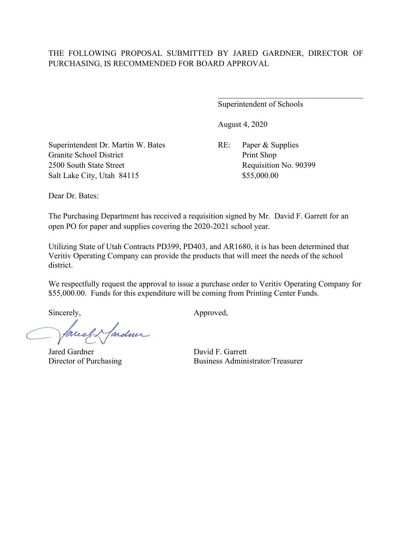#### THE FOLLOWING PROPOSAL SUBMITTED BY JARED GARDNER, DIRECTOR OF PURCHASING, IS RECOMMENDED FOR BOARD APPROVAL

Superintendent of Schools

August 4, 2020

Superintendent Dr. Martin W. Bates RE: Paper & Supplies Granite School District Print Shop 2500 South State Street Requisition No. 90399 Salt Lake City, Utah 84115 \$55,000.00

Dear Dr. Bates:

The Purchasing Department has received a requisition signed by Mr. David F. Garrett for an open PO for paper and supplies covering the 2020-2021 school year.

Utilizing State of Utah Contracts PD399, PD403, and AR1680, it is has been determined that Veritiv Operating Company can provide the products that will meet the needs of the school district.

We respectfully request the approval to issue a purchase order to Veritiv Operating Company for \$55,000.00. Funds for this expenditure will be coming from Printing Center Funds.

Jarden Correct

Jared Gardner David F. Garrett

Sincerely, Approved,

Director of Purchasing Business Administrator/Treasurer